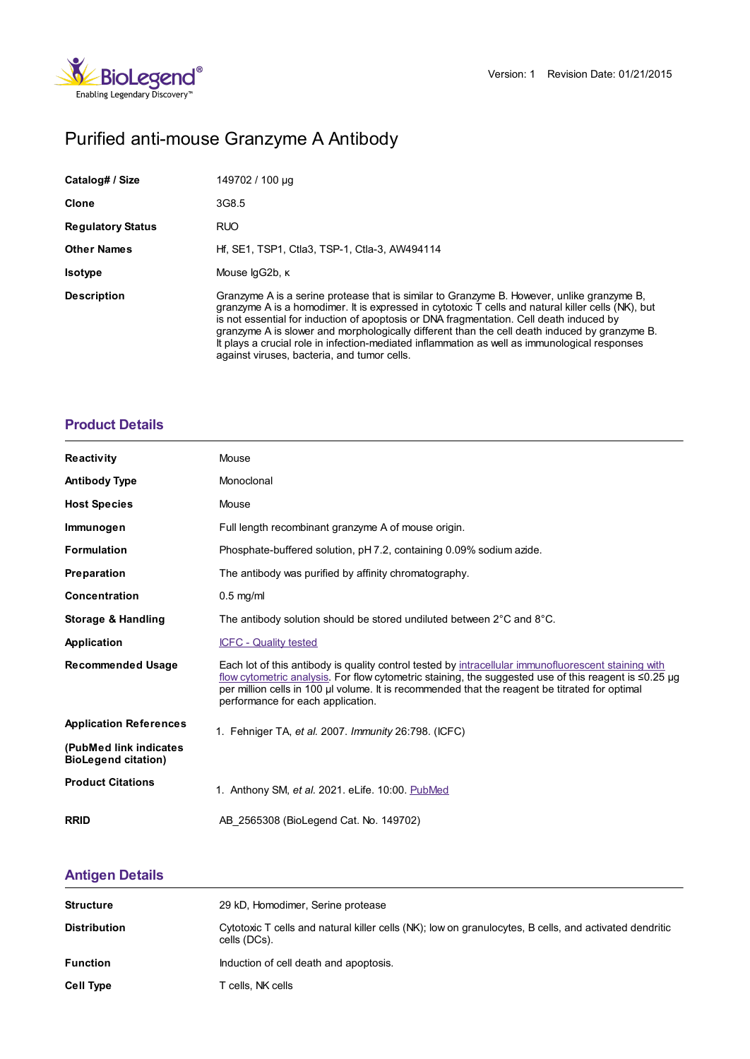

# Purified anti-mouse Granzyme A Antibody

| Catalog# / Size          | 149702 / 100 µg                                                                                                                                                                                                                                                                                                                                                                                                                                                                                                                              |
|--------------------------|----------------------------------------------------------------------------------------------------------------------------------------------------------------------------------------------------------------------------------------------------------------------------------------------------------------------------------------------------------------------------------------------------------------------------------------------------------------------------------------------------------------------------------------------|
| <b>Clone</b>             | 3G8.5                                                                                                                                                                                                                                                                                                                                                                                                                                                                                                                                        |
| <b>Regulatory Status</b> | <b>RUO</b>                                                                                                                                                                                                                                                                                                                                                                                                                                                                                                                                   |
| <b>Other Names</b>       | Hf, SE1, TSP1, Ctla3, TSP-1, Ctla-3, AW494114                                                                                                                                                                                                                                                                                                                                                                                                                                                                                                |
| <b>Isotype</b>           | Mouse lgG2b, K                                                                                                                                                                                                                                                                                                                                                                                                                                                                                                                               |
| <b>Description</b>       | Granzyme A is a serine protease that is similar to Granzyme B. However, unlike granzyme B,<br>granzyme A is a homodimer. It is expressed in cytotoxic T cells and natural killer cells (NK), but<br>is not essential for induction of apoptosis or DNA fragmentation. Cell death induced by<br>granzyme A is slower and morphologically different than the cell death induced by granzyme B.<br>It plays a crucial role in infection-mediated inflammation as well as immunological responses<br>against viruses, bacteria, and tumor cells. |

### **[Product](https://production-dynamicweb.biolegend.com/ja-jp/products/purified-anti-mouse-granzyme-a-antibody-10817?pdf=true&displayInline=true&leftRightMargin=15&topBottomMargin=15&filename=Purified anti-mouse Granzyme A Antibody.pdf#productDetails) Details**

| <b>Reactivity</b>                                     | Mouse                                                                                                                                                                                                                                                                                                                                                      |  |
|-------------------------------------------------------|------------------------------------------------------------------------------------------------------------------------------------------------------------------------------------------------------------------------------------------------------------------------------------------------------------------------------------------------------------|--|
| <b>Antibody Type</b>                                  | Monoclonal                                                                                                                                                                                                                                                                                                                                                 |  |
| <b>Host Species</b>                                   | Mouse                                                                                                                                                                                                                                                                                                                                                      |  |
| Immunogen                                             | Full length recombinant granzyme A of mouse origin.                                                                                                                                                                                                                                                                                                        |  |
| <b>Formulation</b>                                    | Phosphate-buffered solution, pH 7.2, containing 0.09% sodium azide.                                                                                                                                                                                                                                                                                        |  |
| Preparation                                           | The antibody was purified by affinity chromatography.                                                                                                                                                                                                                                                                                                      |  |
| Concentration                                         | $0.5$ mg/ml                                                                                                                                                                                                                                                                                                                                                |  |
| <b>Storage &amp; Handling</b>                         | The antibody solution should be stored undiluted between $2^{\circ}$ C and $8^{\circ}$ C.                                                                                                                                                                                                                                                                  |  |
| Application                                           | <b>ICFC - Quality tested</b>                                                                                                                                                                                                                                                                                                                               |  |
| <b>Recommended Usage</b>                              | Each lot of this antibody is quality control tested by intracellular immunofluorescent staining with<br>flow cytometric analysis. For flow cytometric staining, the suggested use of this reagent is $\leq 0.25$ µg<br>per million cells in 100 µl volume. It is recommended that the reagent be titrated for optimal<br>performance for each application. |  |
| <b>Application References</b>                         | 1. Fehniger TA, et al. 2007. Immunity 26:798. (ICFC)                                                                                                                                                                                                                                                                                                       |  |
| (PubMed link indicates)<br><b>BioLegend citation)</b> |                                                                                                                                                                                                                                                                                                                                                            |  |
| <b>Product Citations</b>                              | 1. Anthony SM, et al. 2021. eLife. 10:00. PubMed                                                                                                                                                                                                                                                                                                           |  |
| <b>RRID</b>                                           | AB 2565308 (BioLegend Cat. No. 149702)                                                                                                                                                                                                                                                                                                                     |  |

## **[Antigen](https://production-dynamicweb.biolegend.com/ja-jp/products/purified-anti-mouse-granzyme-a-antibody-10817?pdf=true&displayInline=true&leftRightMargin=15&topBottomMargin=15&filename=Purified anti-mouse Granzyme A Antibody.pdf#antigenDetails) Details**

| <b>Structure</b>    | 29 kD, Homodimer, Serine protease                                                                                      |
|---------------------|------------------------------------------------------------------------------------------------------------------------|
| <b>Distribution</b> | Cytotoxic T cells and natural killer cells (NK); low on granulocytes, B cells, and activated dendritic<br>cells (DCs). |
| <b>Function</b>     | Induction of cell death and apoptosis.                                                                                 |
| <b>Cell Type</b>    | T cells, NK cells                                                                                                      |